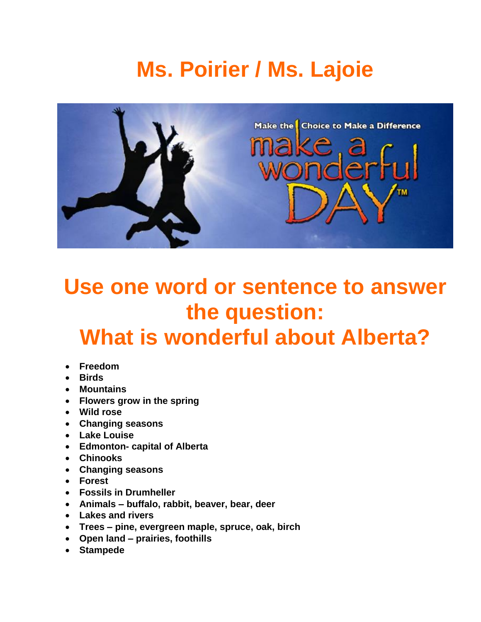# **Ms. Poirier / Ms. Lajoie**



## **Use one word or sentence to answer the question: What is wonderful about Alberta?**

- **Freedom**
- **Birds**
- **Mountains**
- **Flowers grow in the spring**
- **Wild rose**
- **Changing seasons**
- **Lake Louise**
- **Edmonton- capital of Alberta**
- **Chinooks**
- **Changing seasons**
- **Forest**
- **Fossils in Drumheller**
- **Animals – buffalo, rabbit, beaver, bear, deer**
- **Lakes and rivers**
- **Trees – pine, evergreen maple, spruce, oak, birch**
- **Open land – prairies, foothills**
- **Stampede**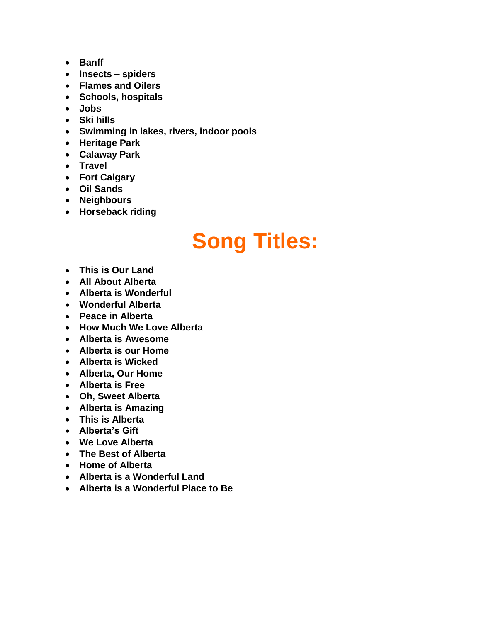- **Banff**
- **Insects – spiders**
- **Flames and Oilers**
- **Schools, hospitals**
- **Jobs**
- **Ski hills**
- **Swimming in lakes, rivers, indoor pools**
- **Heritage Park**
- **Calaway Park**
- **Travel**
- **Fort Calgary**
- **Oil Sands**
- **Neighbours**
- **Horseback riding**

# **Song Titles:**

- **This is Our Land**
- **All About Alberta**
- **Alberta is Wonderful**
- **Wonderful Alberta**
- **Peace in Alberta**
- **How Much We Love Alberta**
- **Alberta is Awesome**
- **Alberta is our Home**
- **Alberta is Wicked**
- **Alberta, Our Home**
- **Alberta is Free**
- **Oh, Sweet Alberta**
- **Alberta is Amazing**
- **This is Alberta**
- **Alberta's Gift**
- **We Love Alberta**
- **The Best of Alberta**
- **Home of Alberta**
- **Alberta is a Wonderful Land**
- **Alberta is a Wonderful Place to Be**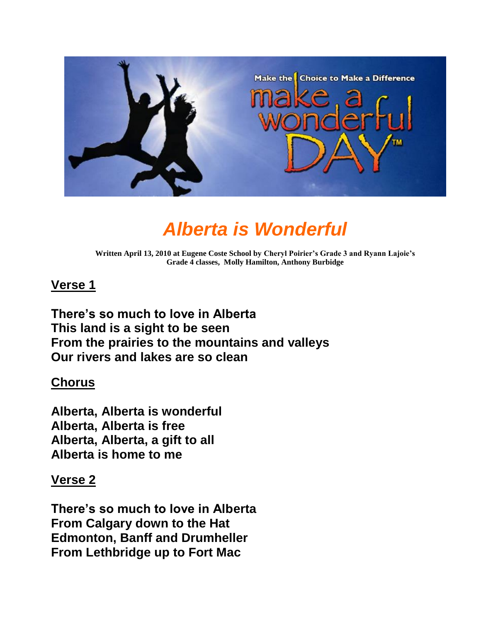

### *Alberta is Wonderful*

**Written April 13, 2010 at Eugene Coste School by Cheryl Poirier's Grade 3 and Ryann Lajoie's Grade 4 classes, Molly Hamilton, Anthony Burbidge**

#### **Verse 1**

**There's so much to love in Alberta This land is a sight to be seen From the prairies to the mountains and valleys Our rivers and lakes are so clean**

#### **Chorus**

**Alberta, Alberta is wonderful Alberta, Alberta is free Alberta, Alberta, a gift to all Alberta is home to me**

#### **Verse 2**

**There's so much to love in Alberta From Calgary down to the Hat Edmonton, Banff and Drumheller From Lethbridge up to Fort Mac**